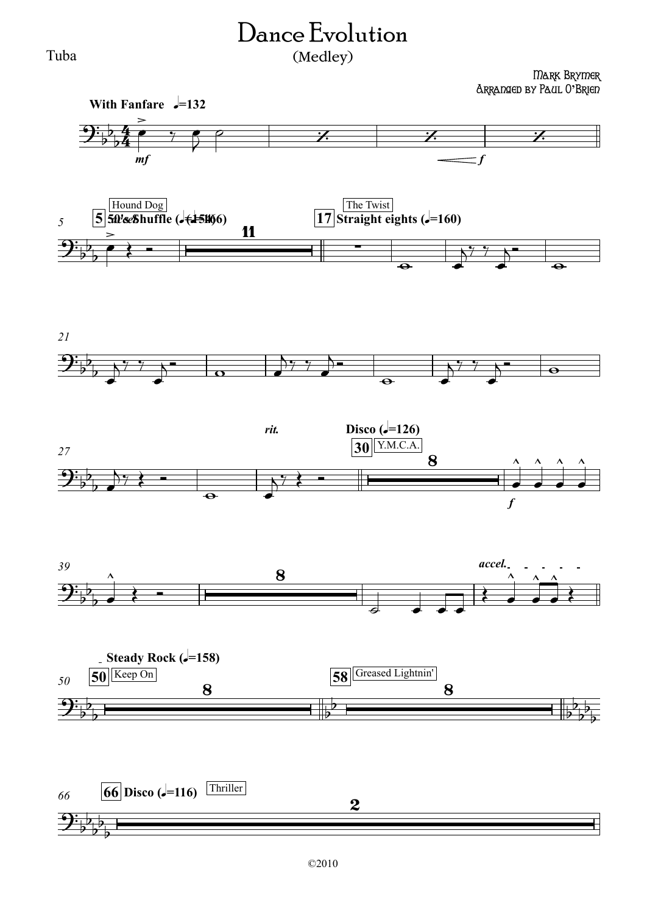## Dance Evolution

## (Medley)

Mark Brymer Arranged by Paul O**'**Brien

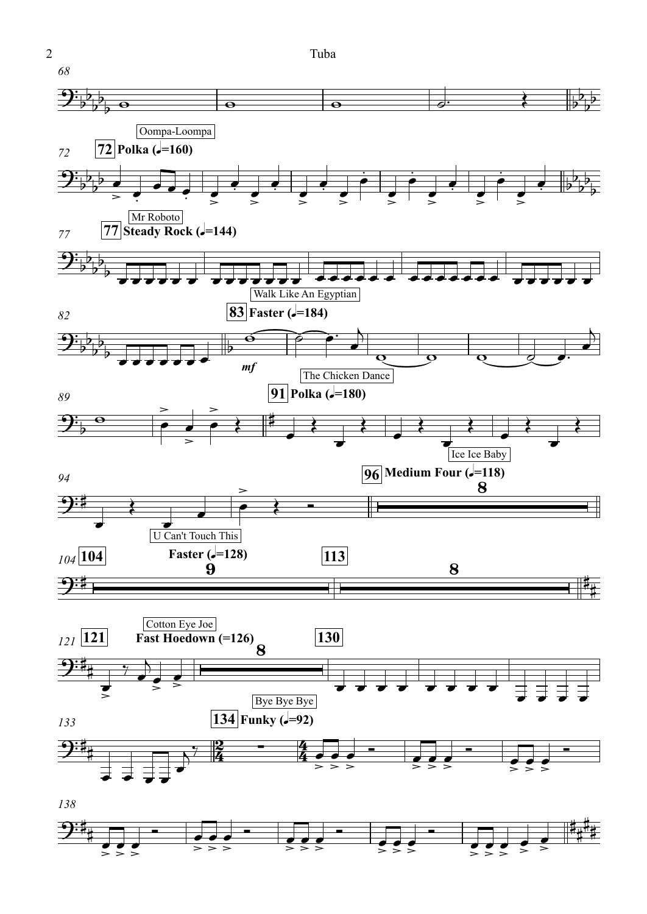2 Tuba